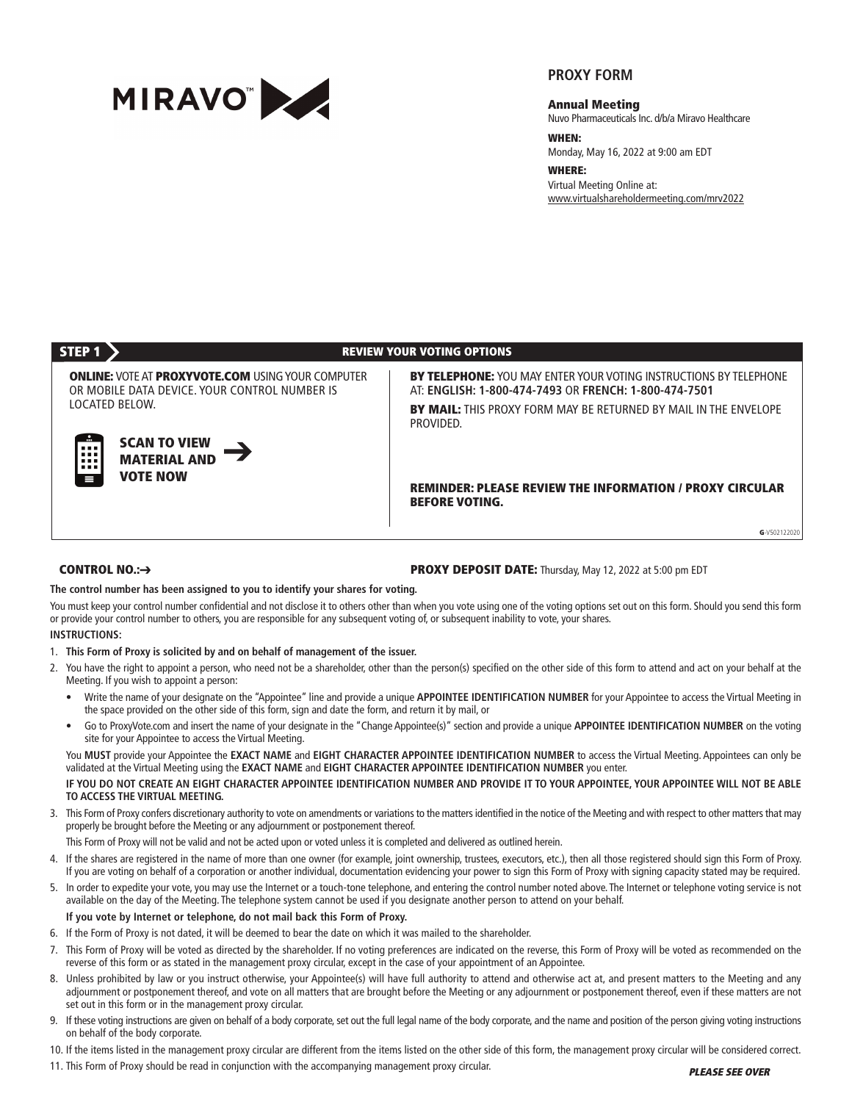

# **PROXY FORM**

**Annual Meeting**

Nuvo Pharmaceuticals Inc. d/b/a Miravo Healthcare

**WHEN:**

Monday, May 16, 2022 at 9:00 am EDT

**WHERE:** Virtual Meeting Online at: www.virtualshareholdermeeting.com/mrv2022

# **STEP 1 REVIEW YOUR VOTING OPTIONS**

**ONLINE:** VOTE AT **PROXYVOTE.COM** USING YOUR COMPUTER OR MOBILE DATA DEVICE. YOUR CONTROL NUMBER IS LOCATED BELOW.

AT: **ENGLISH: 1-800-474-7493** OR **FRENCH: 1-800-474-7501 BY MAIL:** THIS PROXY FORM MAY BE RETURNED BY MAIL IN THE ENVELOPE PROVIDED.

**SCAN TO VIEW MATERIAL AND VOTE NOW**

## **REMINDER: PLEASE REVIEW THE INFORMATION / PROXY CIRCULAR BEFORE VOTING.**

**BY TELEPHONE:** YOU MAY ENTER YOUR VOTING INSTRUCTIONS BY TELEPHONE

**G**-V502122020

### **CONTROL NO.:**➔

#### **PROXY DEPOSIT DATE:** Thursday, May 12, 2022 at 5:00 pm EDT

**The control number has been assigned to you to identify your shares for voting.** 

You must keep your control number confidential and not disclose it to others other than when you vote using one of the voting options set out on this form. Should you send this form or provide your control number to others, you are responsible for any subsequent voting of, or subsequent inability to vote, your shares.

#### **INSTRUCTIONS:**

- 1. **This Form of Proxy is solicited by and on behalf of management of the issuer.**
- 2. You have the right to appoint a person, who need not be a shareholder, other than the person(s) specified on the other side of this form to attend and act on your behalf at the Meeting. If you wish to appoint a person:
	- Write the name of your designate on the "Appointee" line and provide a unique **APPOINTEE IDENTIFICATION NUMBER** for your Appointee to access the Virtual Meeting in the space provided on the other side of this form, sign and date the form, and return it by mail, or
	- Go to ProxyVote.com and insert the name of your designate in the "Change Appointee(s)" section and provide a unique **APPOINTEE IDENTIFICATION NUMBER** on the voting site for your Appointee to access the Virtual Meeting.

You **MUST** provide your Appointee the **EXACT NAME** and **EIGHT CHARACTER APPOINTEE IDENTIFICATION NUMBER** to access the Virtual Meeting. Appointees can only be validated at the Virtual Meeting using the **EXACT NAME** and **EIGHT CHARACTER APPOINTEE IDENTIFICATION NUMBER** you enter.

## **IF YOU DO NOT CREATE AN EIGHT CHARACTER APPOINTEE IDENTIFICATION NUMBER AND PROVIDE IT TO YOUR APPOINTEE, YOUR APPOINTEE WILL NOT BE ABLE TO ACCESS THE VIRTUAL MEETING.**

3. This Form of Proxy confers discretionary authority to vote on amendments or variations to the matters identified in the notice of the Meeting and with respect to other matters that may properly be brought before the Meeting or any adjournment or postponement thereof.

This Form of Proxy will not be valid and not be acted upon or voted unless it is completed and delivered as outlined herein.

- 4. If the shares are registered in the name of more than one owner (for example, joint ownership, trustees, executors, etc.), then all those registered should sign this Form of Proxy. If you are voting on behalf of a corporation or another individual, documentation evidencing your power to sign this Form of Proxy with signing capacity stated may be required.
- 5. In order to expedite your vote, you may use the Internet or a touch-tone telephone, and entering the control number noted above. The Internet or telephone voting service is not available on the day of the Meeting. The telephone system cannot be used if you designate another person to attend on your behalf.

**If you vote by Internet or telephone, do not mail back this Form of Proxy.**

- 6. If the Form of Proxy is not dated, it will be deemed to bear the date on which it was mailed to the shareholder.
- 7. This Form of Proxy will be voted as directed by the shareholder. If no voting preferences are indicated on the reverse, this Form of Proxy will be voted as recommended on the reverse of this form or as stated in the management proxy circular, except in the case of your appointment of an Appointee.
- 8. Unless prohibited by law or you instruct otherwise, your Appointee(s) will have full authority to attend and otherwise act at, and present matters to the Meeting and any adjournment or postponement thereof, and vote on all matters that are brought before the Meeting or any adjournment or postponement thereof, even if these matters are not set out in this form or in the management proxy circular.
- 9. If these voting instructions are given on behalf of a body corporate, set out the full legal name of the body corporate, and the name and position of the person giving voting instructions on behalf of the body corporate.
- 10. If the items listed in the management proxy circular are different from the items listed on the other side of this form, the management proxy circular will be considered correct.
- 11. This Form of Proxy should be read in conjunction with the accompanying management proxy circular.